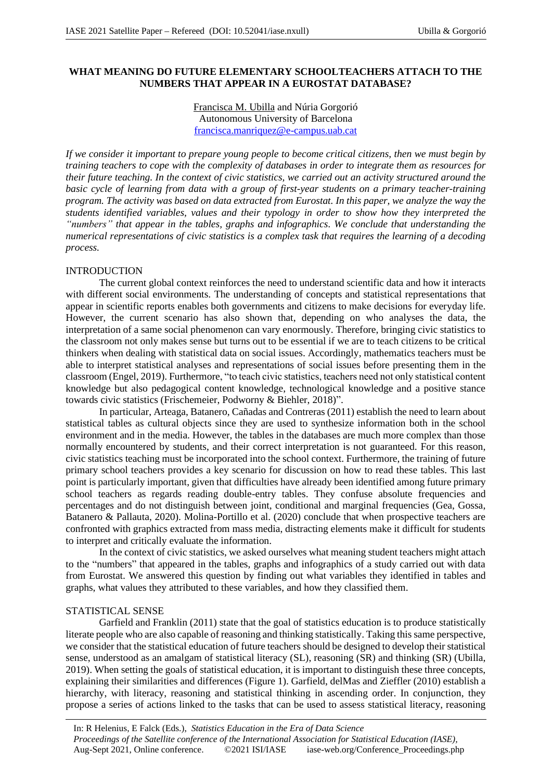# **WHAT MEANING DO FUTURE ELEMENTARY SCHOOLTEACHERS ATTACH TO THE NUMBERS THAT APPEAR IN A EUROSTAT DATABASE?**

Francisca M. Ubilla and Núria Gorgorió Autonomous University of Barcelona francisca.manriquez@e-campus.uab.cat

*If we consider it important to prepare young people to become critical citizens, then we must begin by training teachers to cope with the complexity of databases in order to integrate them as resources for their future teaching. In the context of civic statistics, we carried out an activity structured around the basic cycle of learning from data with a group of first-year students on a primary teacher-training program. The activity was based on data extracted from Eurostat. In this paper, we analyze the way the students identified variables, values and their typology in order to show how they interpreted the "numbers" that appear in the tables, graphs and infographics. We conclude that understanding the numerical representations of civic statistics is a complex task that requires the learning of a decoding process.*

### INTRODUCTION

The current global context reinforces the need to understand scientific data and how it interacts with different social environments. The understanding of concepts and statistical representations that appear in scientific reports enables both governments and citizens to make decisions for everyday life. However, the current scenario has also shown that, depending on who analyses the data, the interpretation of a same social phenomenon can vary enormously. Therefore, bringing civic statistics to the classroom not only makes sense but turns out to be essential if we are to teach citizens to be critical thinkers when dealing with statistical data on social issues. Accordingly, mathematics teachers must be able to interpret statistical analyses and representations of social issues before presenting them in the classroom (Engel, 2019). Furthermore, "to teach civic statistics, teachers need not only statistical content knowledge but also pedagogical content knowledge, technological knowledge and a positive stance towards civic statistics (Frischemeier, Podworny & Biehler, 2018)".

In particular, Arteaga, Batanero, Cañadas and Contreras (2011) establish the need to learn about statistical tables as cultural objects since they are used to synthesize information both in the school environment and in the media. However, the tables in the databases are much more complex than those normally encountered by students, and their correct interpretation is not guaranteed. For this reason, civic statistics teaching must be incorporated into the school context. Furthermore, the training of future primary school teachers provides a key scenario for discussion on how to read these tables. This last point is particularly important, given that difficulties have already been identified among future primary school teachers as regards reading double-entry tables. They confuse absolute frequencies and percentages and do not distinguish between joint, conditional and marginal frequencies (Gea, Gossa, Batanero & Pallauta, 2020). Molina-Portillo et al. (2020) conclude that when prospective teachers are confronted with graphics extracted from mass media, distracting elements make it difficult for students to interpret and critically evaluate the information.

In the context of civic statistics, we asked ourselves what meaning student teachers might attach to the "numbers" that appeared in the tables, graphs and infographics of a study carried out with data from Eurostat. We answered this question by finding out what variables they identified in tables and graphs, what values they attributed to these variables, and how they classified them.

#### STATISTICAL SENSE

Garfield and Franklin (2011) state that the goal of statistics education is to produce statistically literate people who are also capable of reasoning and thinking statistically. Taking this same perspective, we consider that the statistical education of future teachers should be designed to develop their statistical sense, understood as an amalgam of statistical literacy (SL), reasoning (SR) and thinking (SR) (Ubilla, 2019). When setting the goals of statistical education, it is important to distinguish these three concepts, explaining their similarities and differences (Figure 1). Garfield, delMas and Zieffler (2010) establish a hierarchy, with literacy, reasoning and statistical thinking in ascending order. In conjunction, they propose a series of actions linked to the tasks that can be used to assess statistical literacy, reasoning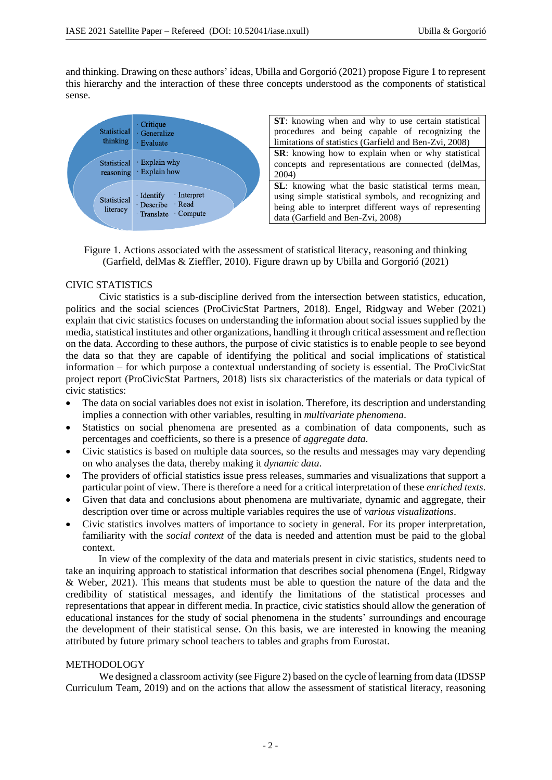and thinking. Drawing on these authors' ideas, Ubilla and Gorgorió (2021) propose Figure 1 to represent this hierarchy and the interaction of these three concepts understood as the components of statistical sense.



**ST**: knowing when and why to use certain statistical procedures and being capable of recognizing the limitations of statistics (Garfield and Ben-Zvi, 2008) **SR**: knowing how to explain when or why statistical concepts and representations are connected (delMas, 2004)

**SL**: knowing what the basic statistical terms mean, using simple statistical symbols, and recognizing and being able to interpret different ways of representing data (Garfield and Ben-Zvi, 2008)

Figure 1. Actions associated with the assessment of statistical literacy, reasoning and thinking (Garfield, delMas & Zieffler, 2010). Figure drawn up by Ubilla and Gorgorió (2021)

# CIVIC STATISTICS

Civic statistics is a sub-discipline derived from the intersection between statistics, education, politics and the social sciences (ProCivicStat Partners, 2018). Engel, Ridgway and Weber (2021) explain that civic statistics focuses on understanding the information about social issues supplied by the media, statistical institutes and other organizations, handling it through critical assessment and reflection on the data. According to these authors, the purpose of civic statistics is to enable people to see beyond the data so that they are capable of identifying the political and social implications of statistical information – for which purpose a contextual understanding of society is essential. The ProCivicStat project report (ProCivicStat Partners, 2018) lists six characteristics of the materials or data typical of civic statistics:

- The data on social variables does not exist in isolation. Therefore, its description and understanding implies a connection with other variables, resulting in *multivariate phenomena*.
- Statistics on social phenomena are presented as a combination of data components, such as percentages and coefficients, so there is a presence of *aggregate data*.
- Civic statistics is based on multiple data sources, so the results and messages may vary depending on who analyses the data, thereby making it *dynamic data*.
- The providers of official statistics issue press releases, summaries and visualizations that support a particular point of view. There is therefore a need for a critical interpretation of these *enriched texts*.
- Given that data and conclusions about phenomena are multivariate, dynamic and aggregate, their description over time or across multiple variables requires the use of *various visualizations*.
- Civic statistics involves matters of importance to society in general. For its proper interpretation, familiarity with the *social context* of the data is needed and attention must be paid to the global context.

In view of the complexity of the data and materials present in civic statistics, students need to take an inquiring approach to statistical information that describes social phenomena (Engel, Ridgway & Weber, 2021). This means that students must be able to question the nature of the data and the credibility of statistical messages, and identify the limitations of the statistical processes and representations that appear in different media. In practice, civic statistics should allow the generation of educational instances for the study of social phenomena in the students' surroundings and encourage the development of their statistical sense. On this basis, we are interested in knowing the meaning attributed by future primary school teachers to tables and graphs from Eurostat.

## METHODOLOGY

We designed a classroom activity (see Figure 2) based on the cycle of learning from data (IDSSP) Curriculum Team, 2019) and on the actions that allow the assessment of statistical literacy, reasoning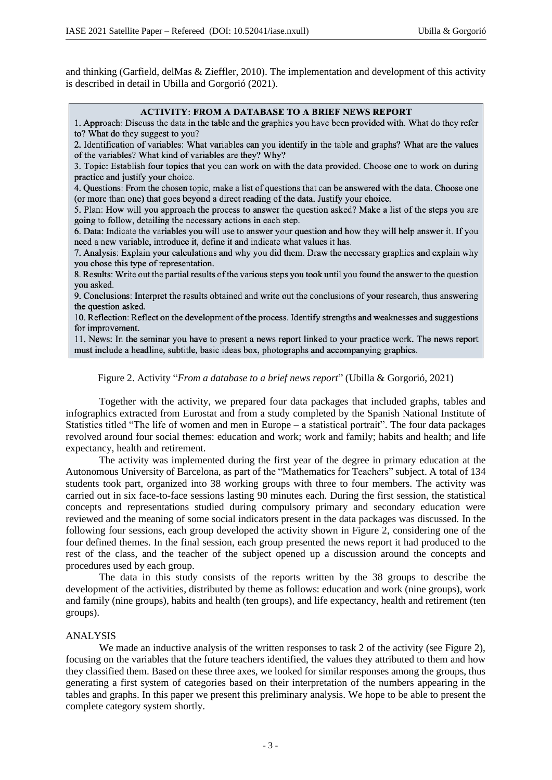and thinking (Garfield, delMas & Zieffler, 2010). The implementation and development of this activity is described in detail in Ubilla and Gorgorió (2021).

#### **ACTIVITY: FROM A DATABASE TO A BRIEF NEWS REPORT**

1. Approach: Discuss the data in the table and the graphics you have been provided with. What do they refer to? What do they suggest to you?

2. Identification of variables: What variables can you identify in the table and graphs? What are the values of the variables? What kind of variables are they? Why?

3. Topic: Establish four topics that you can work on with the data provided. Choose one to work on during practice and justify your choice.

4. Questions: From the chosen topic, make a list of questions that can be answered with the data. Choose one (or more than one) that goes beyond a direct reading of the data. Justify your choice.

5. Plan: How will you approach the process to answer the question asked? Make a list of the steps you are going to follow, detailing the necessary actions in each step.

6. Data: Indicate the variables you will use to answer your question and how they will help answer it. If you need a new variable, introduce it, define it and indicate what values it has.

7. Analysis: Explain your calculations and why you did them. Draw the necessary graphics and explain why you chose this type of representation.

8. Results: Write out the partial results of the various steps you took until you found the answer to the question you asked.

9. Conclusions: Interpret the results obtained and write out the conclusions of your research, thus answering the question asked.

10. Reflection: Reflect on the development of the process. Identify strengths and weaknesses and suggestions for improvement.

11. News: In the seminar you have to present a news report linked to your practice work. The news report must include a headline, subtitle, basic ideas box, photographs and accompanying graphics.

Figure 2. Activity "*From a database to a brief news report*" (Ubilla & Gorgorió, 2021)

Together with the activity, we prepared four data packages that included graphs, tables and infographics extracted from Eurostat and from a study completed by the Spanish National Institute of Statistics titled "The life of women and men in Europe – a statistical portrait". The four data packages revolved around four social themes: education and work; work and family; habits and health; and life expectancy, health and retirement.

The activity was implemented during the first year of the degree in primary education at the Autonomous University of Barcelona, as part of the "Mathematics for Teachers" subject. A total of 134 students took part, organized into 38 working groups with three to four members. The activity was carried out in six face-to-face sessions lasting 90 minutes each. During the first session, the statistical concepts and representations studied during compulsory primary and secondary education were reviewed and the meaning of some social indicators present in the data packages was discussed. In the following four sessions, each group developed the activity shown in Figure 2, considering one of the four defined themes. In the final session, each group presented the news report it had produced to the rest of the class, and the teacher of the subject opened up a discussion around the concepts and procedures used by each group.

The data in this study consists of the reports written by the 38 groups to describe the development of the activities, distributed by theme as follows: education and work (nine groups), work and family (nine groups), habits and health (ten groups), and life expectancy, health and retirement (ten groups).

## ANALYSIS

We made an inductive analysis of the written responses to task 2 of the activity (see Figure 2). focusing on the variables that the future teachers identified, the values they attributed to them and how they classified them. Based on these three axes, we looked for similar responses among the groups, thus generating a first system of categories based on their interpretation of the numbers appearing in the tables and graphs. In this paper we present this preliminary analysis. We hope to be able to present the complete category system shortly.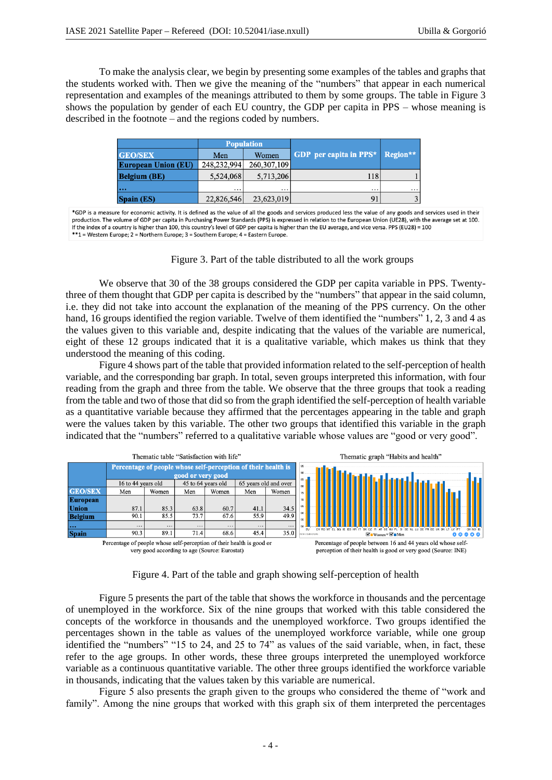To make the analysis clear, we begin by presenting some examples of the tables and graphs that the students worked with. Then we give the meaning of the "numbers" that appear in each numerical representation and examples of the meanings attributed to them by some groups. The table in Figure 3 shows the population by gender of each EU country, the GDP per capita in PPS – whose meaning is described in the footnote – and the regions coded by numbers.

|                            |             | <b>Population</b> |                                        |          |  |
|----------------------------|-------------|-------------------|----------------------------------------|----------|--|
| <b>GEO/SEX</b>             | Men         | Women             | <b>GDP</b> per capita in PPS* Region** |          |  |
| <b>European Union (EU)</b> | 248,232,994 | 260, 307, 109     |                                        |          |  |
| <b>Belgium (BE)</b>        | 5,524,068   | 5,713,206         | 118                                    |          |  |
| $\ddotsc$                  | $\cdots$    | .                 | $\cdots$                               | $\cdots$ |  |
| <b>Spain (ES)</b>          | 22,826,546  | 23,623,019        | 91                                     | 3        |  |

\*GDP is a measure for economic activity. It is defined as the value of all the goods and services produced less the value of any goods and services used in their production. The volume of GDP per capita in Purchasing Power Standards (PPS) is expressed in relation to the European Union (UE28), with the average set at 100. If the index of a country is higher than 100, this country's level of GDP per capita is higher than the EU average, and vice versa. PPS (EU28) = 100 \*\*1 = Western Europe; 2 = Northern Europe; 3 = Southern Europe; 4 = Eastern Europe.

Figure 3. Part of the table distributed to all the work groups

We observe that 30 of the 38 groups considered the GDP per capita variable in PPS. Twentythree of them thought that GDP per capita is described by the "numbers" that appear in the said column, i.e. they did not take into account the explanation of the meaning of the PPS currency. On the other hand, 16 groups identified the region variable. Twelve of them identified the "numbers" 1, 2, 3 and 4 as the values given to this variable and, despite indicating that the values of the variable are numerical, eight of these 12 groups indicated that it is a qualitative variable, which makes us think that they understood the meaning of this coding.

Figure 4 shows part of the table that provided information related to the self-perception of health variable, and the corresponding bar graph. In total, seven groups interpreted this information, with four reading from the graph and three from the table. We observe that the three groups that took a reading from the table and two of those that did so from the graph identified the self-perception of health variable as a quantitative variable because they affirmed that the percentages appearing in the table and graph were the values taken by this variable. The other two groups that identified this variable in the graph indicated that the "numbers" referred to a qualitative variable whose values are "good or very good".



Figure 4. Part of the table and graph showing self-perception of health

Figure 5 presents the part of the table that shows the workforce in thousands and the percentage of unemployed in the workforce. Six of the nine groups that worked with this table considered the concepts of the workforce in thousands and the unemployed workforce. Two groups identified the percentages shown in the table as values of the unemployed workforce variable, while one group identified the "numbers" "15 to 24, and 25 to 74" as values of the said variable, when, in fact, these refer to the age groups. In other words, these three groups interpreted the unemployed workforce variable as a continuous quantitative variable. The other three groups identified the workforce variable in thousands, indicating that the values taken by this variable are numerical.

Figure 5 also presents the graph given to the groups who considered the theme of "work and family". Among the nine groups that worked with this graph six of them interpreted the percentages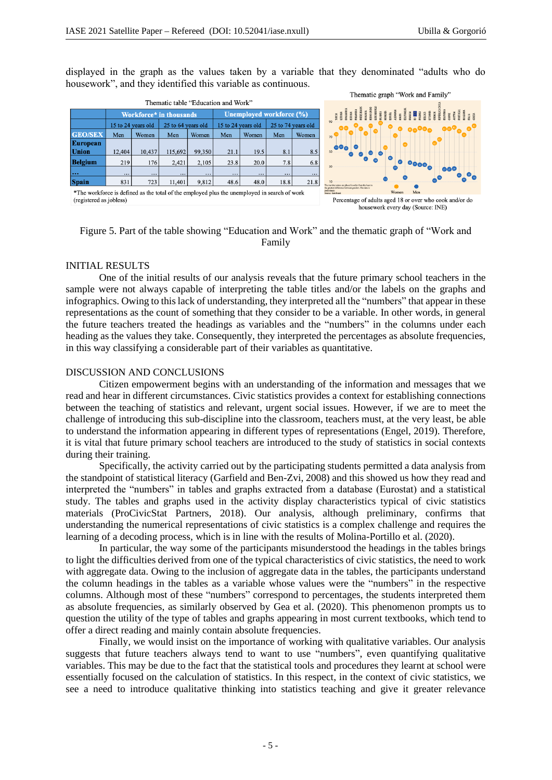Thematic graph "Work and Family"

displayed in the graph as the values taken by a variable that they denominated "adults who do housework", and they identified this variable as continuous.

|                                                                                    |                                                                                              |        |                                 |          |                    |          | THURSDAY ETAPH WORK WHO I WILL !!                                                                                                                                                                                                    |          |                                                                                                                                                    |              |     |
|------------------------------------------------------------------------------------|----------------------------------------------------------------------------------------------|--------|---------------------------------|----------|--------------------|----------|--------------------------------------------------------------------------------------------------------------------------------------------------------------------------------------------------------------------------------------|----------|----------------------------------------------------------------------------------------------------------------------------------------------------|--------------|-----|
| Thematic table "Education and Work"                                                |                                                                                              |        |                                 |          |                    |          |                                                                                                                                                                                                                                      |          |                                                                                                                                                    |              |     |
|                                                                                    | Workforce* in thousands                                                                      |        | <b>Unemployed workforce (%)</b> |          |                    |          | SERIA<br>En San Maria (1995), especial de la maria (1995), especial de la maria (1996), especial de la maria (1996), e<br>En San Maria (1996), especial de la maria (1996), especial de la maria (1996), especial de la maria (1996) |          |                                                                                                                                                    |              |     |
|                                                                                    | 25 to 64 years old<br>15 to 24 years old                                                     |        | 15 to 24 years old              |          | 25 to 74 years old |          |                                                                                                                                                                                                                                      |          |                                                                                                                                                    |              |     |
| <b>GEO/SEX</b>                                                                     | Men                                                                                          | Women  | Men                             | Women    | Men                | Women    | Men                                                                                                                                                                                                                                  | Women    | 70                                                                                                                                                 |              |     |
| <b>European</b>                                                                    |                                                                                              |        |                                 |          |                    |          |                                                                                                                                                                                                                                      |          | $\boldsymbol{\omega}$                                                                                                                              |              |     |
| Union                                                                              | 12,404                                                                                       | 10,437 | 115,692                         | 99,350   | 21.1               | 19.5     | 8.1                                                                                                                                                                                                                                  | 8.5      | 50                                                                                                                                                 |              |     |
| <b>Belgium</b>                                                                     | 219                                                                                          | 176    | 2,421                           | 2,105    | 23.8               | 20.0     | 7.8                                                                                                                                                                                                                                  | 6.8      | $\bigcirc$<br>30                                                                                                                                   | $\bullet$    |     |
| $\cdots$                                                                           | $\cdots$                                                                                     |        | $\cdots$                        | $\cdots$ | $\cdots$           | $\cdots$ | $\cdots$                                                                                                                                                                                                                             | $\cdots$ |                                                                                                                                                    |              | 000 |
| <b>Spain</b>                                                                       | 831                                                                                          | 723    | 11,401                          | 9.812    | 48.6               | 48.0     | 18.8                                                                                                                                                                                                                                 | 21.8     |                                                                                                                                                    |              |     |
|                                                                                    | *The workforce is defined as the total of the employed plus the unemployed in search of work |        |                                 |          |                    |          |                                                                                                                                                                                                                                      |          | The member states are placed in order from the least to<br>the greatest difference between genders. The data is<br>ordiniaav.<br>Source: Furndound | Women<br>Men |     |
| (registered as jobless)<br>Percentage of adults aged 18 or over who cook and/or do |                                                                                              |        |                                 |          |                    |          |                                                                                                                                                                                                                                      |          |                                                                                                                                                    |              |     |
| housework every day (Source: INE)                                                  |                                                                                              |        |                                 |          |                    |          |                                                                                                                                                                                                                                      |          |                                                                                                                                                    |              |     |

Figure 5. Part of the table showing "Education and Work" and the thematic graph of "Work and Family

### INITIAL RESULTS

One of the initial results of our analysis reveals that the future primary school teachers in the sample were not always capable of interpreting the table titles and/or the labels on the graphs and infographics. Owing to this lack of understanding, they interpreted all the "numbers" that appear in these representations as the count of something that they consider to be a variable. In other words, in general the future teachers treated the headings as variables and the "numbers" in the columns under each heading as the values they take. Consequently, they interpreted the percentages as absolute frequencies, in this way classifying a considerable part of their variables as quantitative.

#### DISCUSSION AND CONCLUSIONS

Citizen empowerment begins with an understanding of the information and messages that we read and hear in different circumstances. Civic statistics provides a context for establishing connections between the teaching of statistics and relevant, urgent social issues. However, if we are to meet the challenge of introducing this sub-discipline into the classroom, teachers must, at the very least, be able to understand the information appearing in different types of representations (Engel, 2019). Therefore, it is vital that future primary school teachers are introduced to the study of statistics in social contexts during their training.

Specifically, the activity carried out by the participating students permitted a data analysis from the standpoint of statistical literacy (Garfield and Ben-Zvi, 2008) and this showed us how they read and interpreted the "numbers" in tables and graphs extracted from a database (Eurostat) and a statistical study. The tables and graphs used in the activity display characteristics typical of civic statistics materials (ProCivicStat Partners, 2018). Our analysis, although preliminary, confirms that understanding the numerical representations of civic statistics is a complex challenge and requires the learning of a decoding process, which is in line with the results of Molina-Portillo et al. (2020).

In particular, the way some of the participants misunderstood the headings in the tables brings to light the difficulties derived from one of the typical characteristics of civic statistics, the need to work with aggregate data. Owing to the inclusion of aggregate data in the tables, the participants understand the column headings in the tables as a variable whose values were the "numbers" in the respective columns. Although most of these "numbers" correspond to percentages, the students interpreted them as absolute frequencies, as similarly observed by Gea et al. (2020). This phenomenon prompts us to question the utility of the type of tables and graphs appearing in most current textbooks, which tend to offer a direct reading and mainly contain absolute frequencies.

Finally, we would insist on the importance of working with qualitative variables. Our analysis suggests that future teachers always tend to want to use "numbers", even quantifying qualitative variables. This may be due to the fact that the statistical tools and procedures they learnt at school were essentially focused on the calculation of statistics. In this respect, in the context of civic statistics, we see a need to introduce qualitative thinking into statistics teaching and give it greater relevance